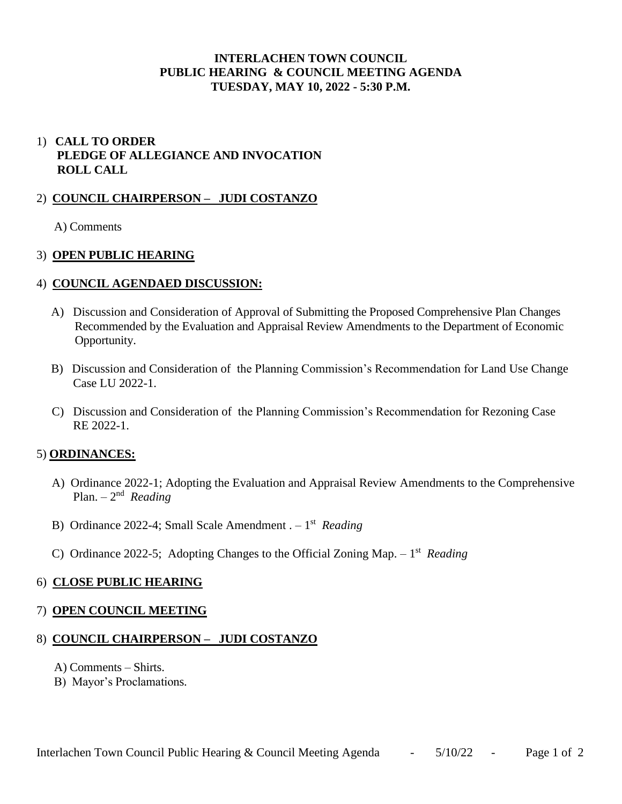## **INTERLACHEN TOWN COUNCIL PUBLIC HEARING & COUNCIL MEETING AGENDA TUESDAY, MAY 10, 2022 - 5:30 P.M.**

# 1) **CALL TO ORDER PLEDGE OF ALLEGIANCE AND INVOCATION ROLL CALL**

### 2) **COUNCIL CHAIRPERSON – JUDI COSTANZO**

A) Comments

### 3) **OPEN PUBLIC HEARING**

### 4) **COUNCIL AGENDAED DISCUSSION:**

- A) Discussion and Consideration of Approval of Submitting the Proposed Comprehensive Plan Changes Recommended by the Evaluation and Appraisal Review Amendments to the Department of Economic Opportunity.
- B) Discussion and Consideration of the Planning Commission's Recommendation for Land Use Change Case LU 2022-1.
- C) Discussion and Consideration of the Planning Commission's Recommendation for Rezoning Case RE 2022-1.

### 5) **ORDINANCES:**

- A) Ordinance 2022-1; Adopting the Evaluation and Appraisal Review Amendments to the Comprehensive Plan. – 2 nd *Reading*
- B) Ordinance 2022-4; Small Scale Amendment . 1 st *Reading*
- C) Ordinance 2022-5; Adopting Changes to the Official Zoning Map. 1 st *Reading*

### 6) **CLOSE PUBLIC HEARING**

### 7) **OPEN COUNCIL MEETING**

### 8) **COUNCIL CHAIRPERSON – JUDI COSTANZO**

- A) Comments Shirts.
- B) Mayor's Proclamations.